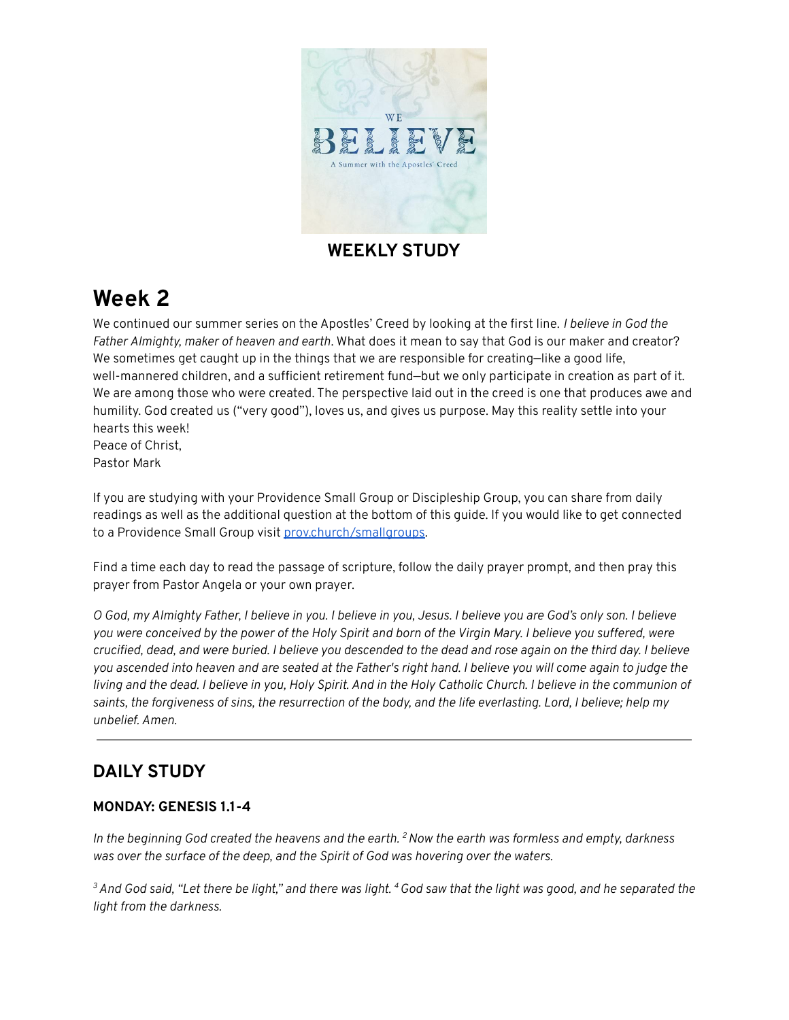

### **WEEKLY STUDY**

# **Week 2**

We continued our summer series on the Apostles' Creed by looking at the first line. *I believe in God the Father Almighty, maker of heaven and earth*. What does it mean to say that God is our maker and creator? We sometimes get caught up in the things that we are responsible for creating—like a good life, well-mannered children, and a sufficient retirement fund—but we only participate in creation as part of it. We are among those who were created. The perspective laid out in the creed is one that produces awe and humility. God created us ("very good"), loves us, and gives us purpose. May this reality settle into your hearts this week! Peace of Christ,

Pastor Mark

If you are studying with your Providence Small Group or Discipleship Group, you can share from daily readings as well as the additional question at the bottom of this guide. If you would like to get connected to a Providence Small Group visit [prov.church/smallgroups.](https://prov.church/ministries/adults/)

Find a time each day to read the passage of scripture, follow the daily prayer prompt, and then pray this prayer from Pastor Angela or your own prayer.

O God, my Almighty Father, I believe in you. I believe in you, Jesus. I believe you are God's only son. I believe you were conceived by the power of the Holy Spirit and born of the Virgin Mary. I believe you suffered, were crucified, dead, and were buried. I believe you descended to the dead and rose again on the third day. I believe you ascended into heaven and are seated at the Father's right hand. I believe you will come again to judge the living and the dead. I believe in you, Holy Spirit. And in the Holy Catholic Church. I believe in the communion of saints, the forgiveness of sins, the resurrection of the body, and the life everlasting. Lord, I believe; help my *unbelief. Amen.*

### **DAILY STUDY**

#### **MONDAY: GENESIS 1.1-4**

In the beginning God created the heavens and the earth.  $^2$  Now the earth was formless and empty, darkness *was over the surface of the deep, and the Spirit of God was hovering over the waters.*

 $^3$  And God said, "Let there be light," and there was light.  $^4$  God saw that the light was good, and he separated the *light from the darkness.*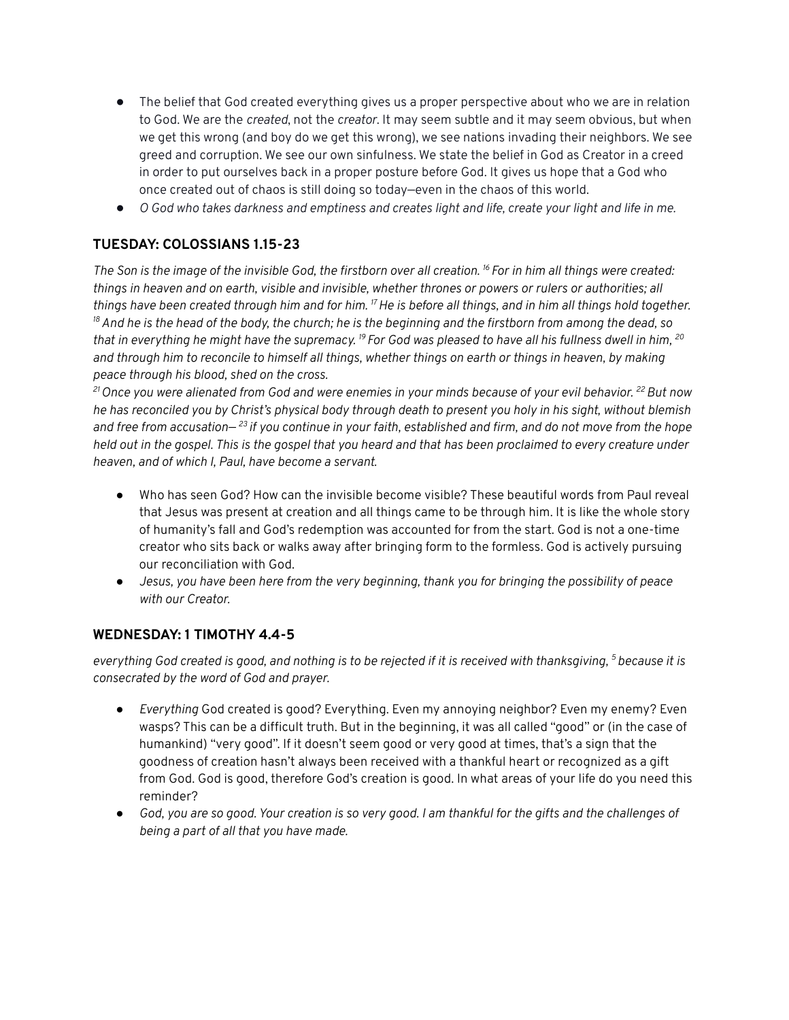- The belief that God created everything gives us a proper perspective about who we are in relation to God. We are the *created*, not the *creator*. It may seem subtle and it may seem obvious, but when we get this wrong (and boy do we get this wrong), we see nations invading their neighbors. We see greed and corruption. We see our own sinfulness. We state the belief in God as Creator in a creed in order to put ourselves back in a proper posture before God. It gives us hope that a God who once created out of chaos is still doing so today—even in the chaos of this world.
- O God who takes darkness and emptiness and creates light and life, create your light and life in me.

#### **TUESDAY: COLOSSIANS 1.15-23**

The Son is the image of the invisible God, the firstborn over all creation.<sup>16</sup> For in him all things were created: things in heaven and on earth, visible and invisible, whether thrones or powers or rulers or authorities; all things have been created through him and for him. <sup>17</sup> He is before all things, and in him all things hold together.  $^{18}$  And he is the head of the body, the church; he is the beginning and the firstborn from among the dead, so that in everything he might have the supremacy.  $^{19}$  For God was pleased to have all his fullness dwell in him,  $^{20}$ and through him to reconcile to himself all things, whether things on earth or things in heaven, by making *peace through his blood, shed on the cross.*

<sup>21</sup> Once you were alienated from God and were enemies in your minds because of your evil behavior. <sup>22</sup> But now he has reconciled you by Christ's physical body through death to present you holy in his sight, without blemish and free from accusation—<sup>23</sup> if you continue in your faith, established and firm, and do not move from the hope held out in the gospel. This is the gospel that you heard and that has been proclaimed to every creature under *heaven, and of which I, Paul, have become a servant.*

- Who has seen God? How can the invisible become visible? These beautiful words from Paul reveal that Jesus was present at creation and all things came to be through him. It is like the whole story of humanity's fall and God's redemption was accounted for from the start. God is not a one-time creator who sits back or walks away after bringing form to the formless. God is actively pursuing our reconciliation with God.
- Jesus, you have been here from the very beginning, thank you for bringing the possibility of peace *with our Creator.*

#### **WEDNESDAY: 1 TIMOTHY 4.4-5**

everything God created is good, and nothing is to be rejected if it is received with thanksgiving, <sup>5</sup> because it is *consecrated by the word of God and prayer.*

- *Everything* God created is good? Everything. Even my annoying neighbor? Even my enemy? Even wasps? This can be a difficult truth. But in the beginning, it was all called "good" or (in the case of humankind) "very good". If it doesn't seem good or very good at times, that's a sign that the goodness of creation hasn't always been received with a thankful heart or recognized as a gift from God. God is good, therefore God's creation is good. In what areas of your life do you need this reminder?
- God, you are so good. Your creation is so very good. I am thankful for the gifts and the challenges of *being a part of all that you have made.*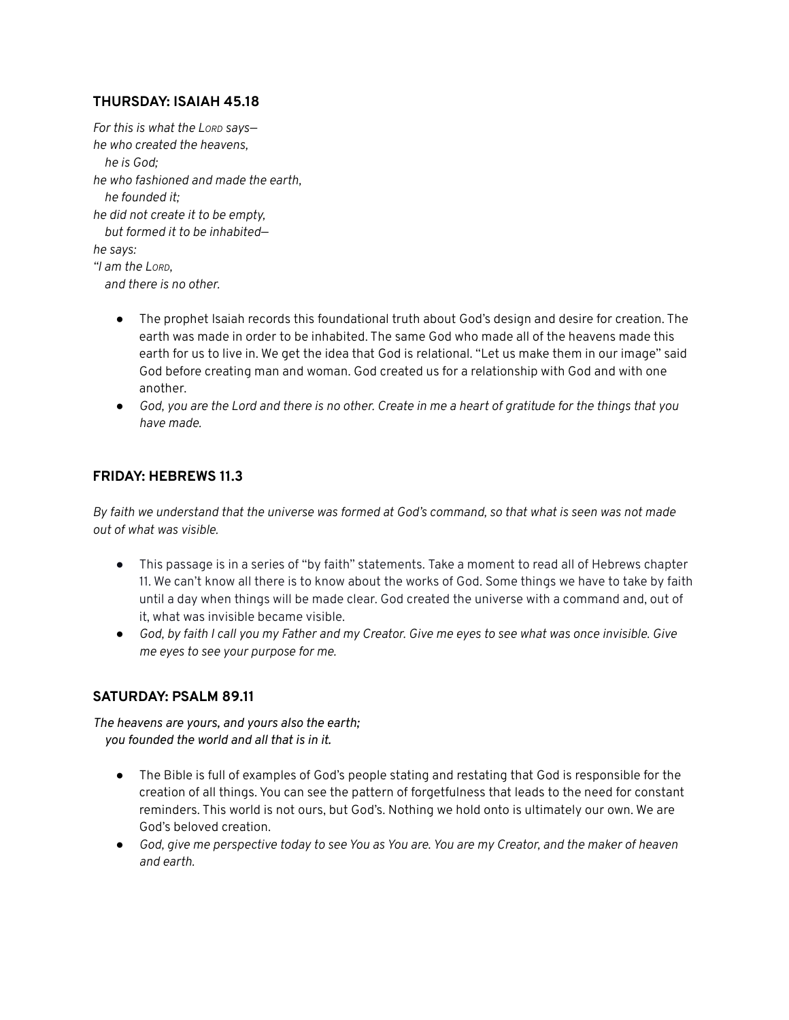#### **THURSDAY: ISAIAH 45.18**

*For this is what the LORD says he who created the heavens, he is God; he who fashioned and made the earth, he founded it; he did not create it to be empty, but formed it to be inhabited he says: "I am the LORD, and there is no other.*

- The prophet Isaiah records this foundational truth about God's design and desire for creation. The earth was made in order to be inhabited. The same God who made all of the heavens made this earth for us to live in. We get the idea that God is relational. "Let us make them in our image" said God before creating man and woman. God created us for a relationship with God and with one another.
- God, you are the Lord and there is no other. Create in me a heart of gratitude for the things that you *have made.*

#### **FRIDAY: HEBREWS 11.3**

By faith we understand that the universe was formed at God's command, so that what is seen was not made *out of what was visible.*

- This passage is in a series of "by faith" statements. Take a moment to read all of Hebrews chapter 11. We can't know all there is to know about the works of God. Some things we have to take by faith until a day when things will be made clear. God created the universe with a command and, out of it, what was invisible became visible.
- God, by faith I call you my Father and my Creator. Give me eyes to see what was once invisible. Give *me eyes to see your purpose for me.*

#### **SATURDAY: PSALM 89.11**

*The heavens are yours, and yours also the earth; you founded the world and all that is in it.*

- The Bible is full of examples of God's people stating and restating that God is responsible for the creation of all things. You can see the pattern of forgetfulness that leads to the need for constant reminders. This world is not ours, but God's. Nothing we hold onto is ultimately our own. We are God's beloved creation.
- God, give me perspective today to see You as You are. You are my Creator, and the maker of heaven *and earth.*